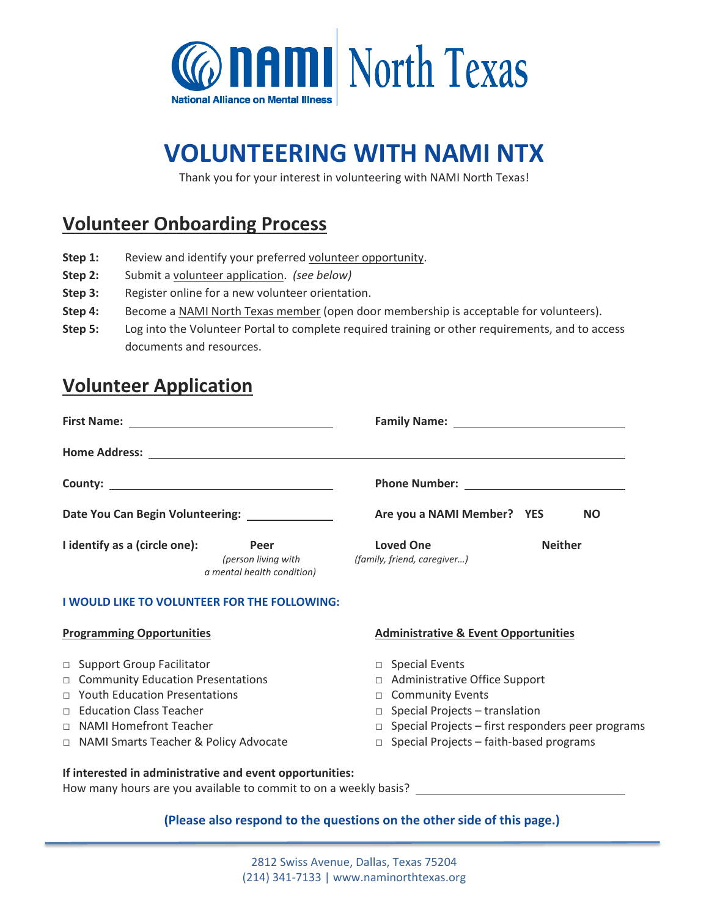

# **VOLUNTEERING WITH NAMI NTX**

Thank you for your interest in volunteering with NAMI North Texas!

## **Volunteer Onboarding Process**

- Step 1: Review and identify your preferred [volunteer opportunity.](https://www.naminorthtexas.org/uploads/2/2/4/3/22433150/4volunteer_opps_and_requirements.pdf)
- **Step 2:** Submit a [volunteer application.](https://docs.google.com/forms/d/e/1FAIpQLSeChX43nGTsa5BVdgxhvky6pIBQenRLpX_rydHFO0jV5awu5g/viewform?usp=sf_link) *(see below)*
- **Step 3:** Register online for a new volunteer orientation.
- Step 4: Become a [NAMI North Texas member](https://www.naminorthtexas.org/membership.html) (open door membership is acceptable for volunteers).
- **Step 5:** Log into the Volunteer Portal to complete required training or other requirements, and to access documents and resources.

### **Volunteer Application**

| Date You Can Begin Volunteering: _______________                                                                                                                                                                                                            |  | Are you a NAMI Member? YES<br><b>NO</b>                                        |                                                                                                                                                                        |  |  |
|-------------------------------------------------------------------------------------------------------------------------------------------------------------------------------------------------------------------------------------------------------------|--|--------------------------------------------------------------------------------|------------------------------------------------------------------------------------------------------------------------------------------------------------------------|--|--|
| I identify as a (circle one):<br>Peer<br>(person living with<br>a mental health condition)                                                                                                                                                                  |  | <b>Loved One</b><br><b>Neither</b><br>(family, friend, caregiver)              |                                                                                                                                                                        |  |  |
| I WOULD LIKE TO VOLUNTEER FOR THE FOLLOWING:                                                                                                                                                                                                                |  |                                                                                |                                                                                                                                                                        |  |  |
| <b>Programming Opportunities</b>                                                                                                                                                                                                                            |  | <b>Administrative &amp; Event Opportunities</b>                                |                                                                                                                                                                        |  |  |
| □ Support Group Facilitator<br><b>Community Education Presentations</b><br>$\Box$<br><b>Youth Education Presentations</b><br>$\Box$<br><b>Education Class Teacher</b><br>$\Box$<br>$\Box$ NAMI Homefront Teacher<br>□ NAMI Smarts Teacher & Policy Advocate |  | $\Box$ Special Events<br>$\Box$<br><b>Community Events</b><br>П<br>$\Box$<br>П | Administrative Office Support<br>Special Projects - translation<br>Special Projects - first responders peer programs<br>$\Box$ Special Projects – faith-based programs |  |  |
| If interested in administrative and event opportunities:                                                                                                                                                                                                    |  |                                                                                |                                                                                                                                                                        |  |  |

How many hours are you available to commit to on a weekly basis?

### **(Please also respond to the questions on the other side of this page.)**